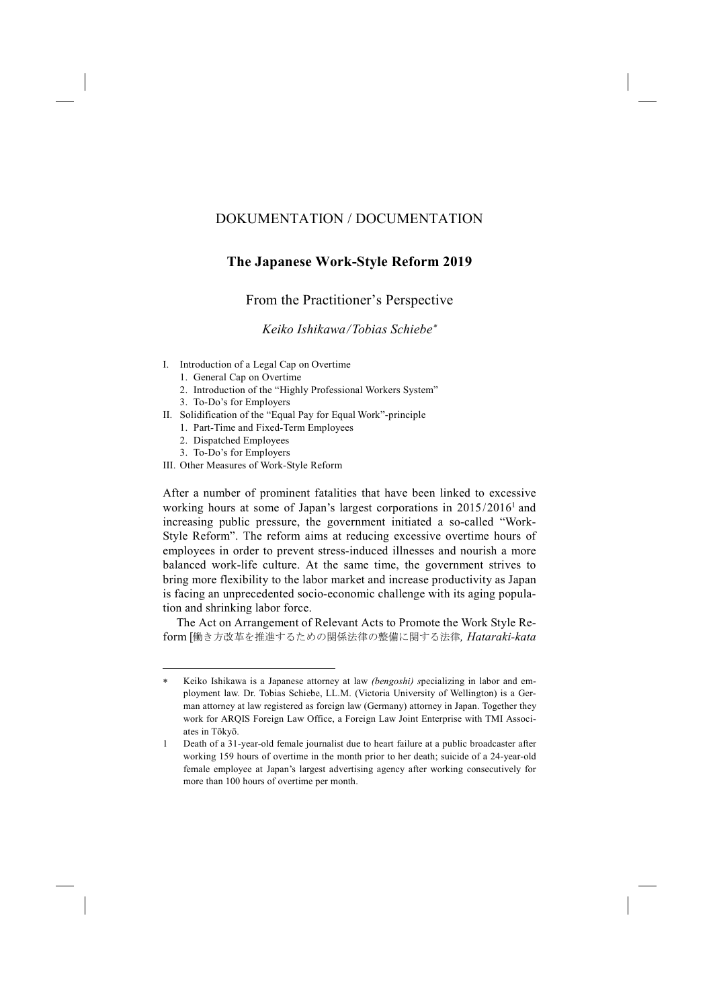# DOKUMENTATION / DOCUMENTATION

# **The Japanese Work-Style Reform 2019**

From the Practitioner's Perspective

*Keiko Ishikawa / Tobias Schiebe*<sup>∗</sup>

- I. Introduction of a Legal Cap on Overtime
	- 1. General Cap on Overtime
	- 2. Introduction of the "Highly Professional Workers System"
	- 3. To-Do's for Employers
- II. Solidification of the "Equal Pay for Equal Work"-principle
	- 1. Part-Time and Fixed-Term Employees
	- 2. Dispatched Employees
	- 3. To-Do's for Employers

-

III. Other Measures of Work-Style Reform

After a number of prominent fatalities that have been linked to excessive working hours at some of Japan's largest corporations in 2015/20161 and increasing public pressure, the government initiated a so-called "Work-Style Reform". The reform aims at reducing excessive overtime hours of employees in order to prevent stress-induced illnesses and nourish a more balanced work-life culture. At the same time, the government strives to bring more flexibility to the labor market and increase productivity as Japan is facing an unprecedented socio-economic challenge with its aging population and shrinking labor force.

The Act on Arrangement of Relevant Acts to Promote the Work Style Reform [働き方改革を推進するための関係法律の整備に関する法律*, Hataraki-kata* 

<sup>∗</sup> Keiko Ishikawa is a Japanese attorney at law *(bengoshi) s*pecializing in labor and employment law. Dr. Tobias Schiebe, LL.M. (Victoria University of Wellington) is a German attorney at law registered as foreign law (Germany) attorney in Japan. Together they work for ARQIS Foreign Law Office, a Foreign Law Joint Enterprise with TMI Associates in Tōkyō.

<sup>1</sup> Death of a 31-year-old female journalist due to heart failure at a public broadcaster after working 159 hours of overtime in the month prior to her death; suicide of a 24-year-old female employee at Japan's largest advertising agency after working consecutively for more than 100 hours of overtime per month.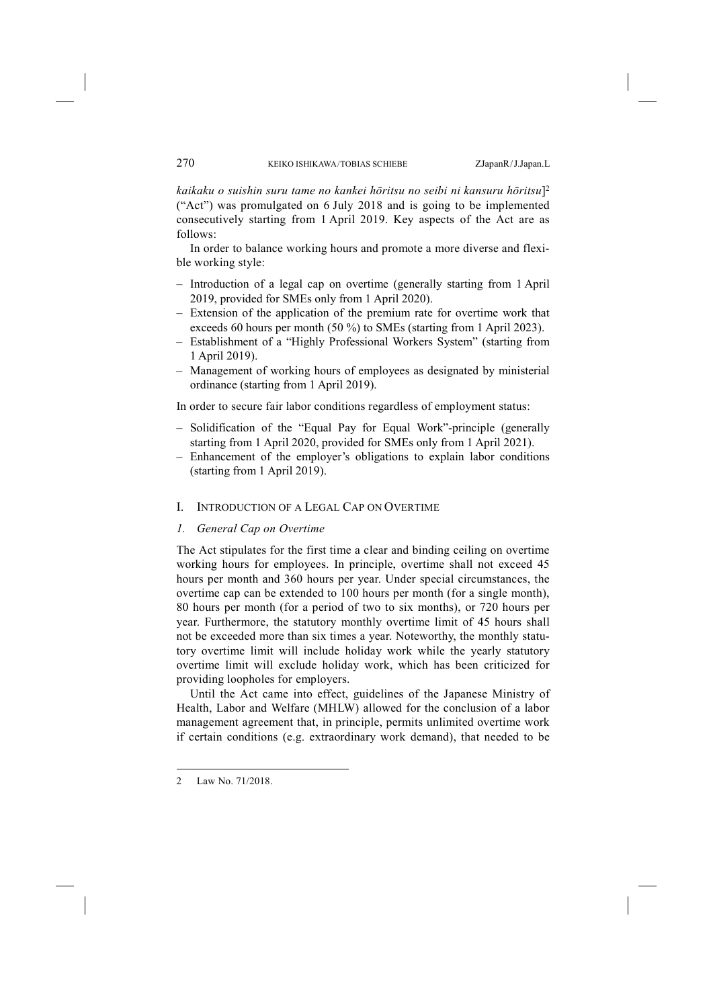*kaikaku o suishin suru tame no kankei hōritsu no seibi ni kansuru hōritsu*]2 ("Act") was promulgated on 6 July 2018 and is going to be implemented consecutively starting from 1 April 2019. Key aspects of the Act are as follows:

In order to balance working hours and promote a more diverse and flexible working style:

- Introduction of a legal cap on overtime (generally starting from 1 April 2019, provided for SMEs only from 1 April 2020).
- Extension of the application of the premium rate for overtime work that exceeds 60 hours per month (50 %) to SMEs (starting from 1 April 2023).
- Establishment of a "Highly Professional Workers System" (starting from 1 April 2019).
- Management of working hours of employees as designated by ministerial ordinance (starting from 1 April 2019).

In order to secure fair labor conditions regardless of employment status:

- Solidification of the "Equal Pay for Equal Work"-principle (generally starting from 1 April 2020, provided for SMEs only from 1 April 2021).
- Enhancement of the employer's obligations to explain labor conditions (starting from 1 April 2019).
- I. INTRODUCTION OF A LEGAL CAP ON OVERTIME
- *1. General Cap on Overtime*

The Act stipulates for the first time a clear and binding ceiling on overtime working hours for employees. In principle, overtime shall not exceed 45 hours per month and 360 hours per year. Under special circumstances, the overtime cap can be extended to 100 hours per month (for a single month), 80 hours per month (for a period of two to six months), or 720 hours per year. Furthermore, the statutory monthly overtime limit of 45 hours shall not be exceeded more than six times a year. Noteworthy, the monthly statutory overtime limit will include holiday work while the yearly statutory overtime limit will exclude holiday work, which has been criticized for providing loopholes for employers.

Until the Act came into effect, guidelines of the Japanese Ministry of Health, Labor and Welfare (MHLW) allowed for the conclusion of a labor management agreement that, in principle, permits unlimited overtime work if certain conditions (e.g. extraordinary work demand), that needed to be

-

<sup>2</sup> Law No. 71/2018.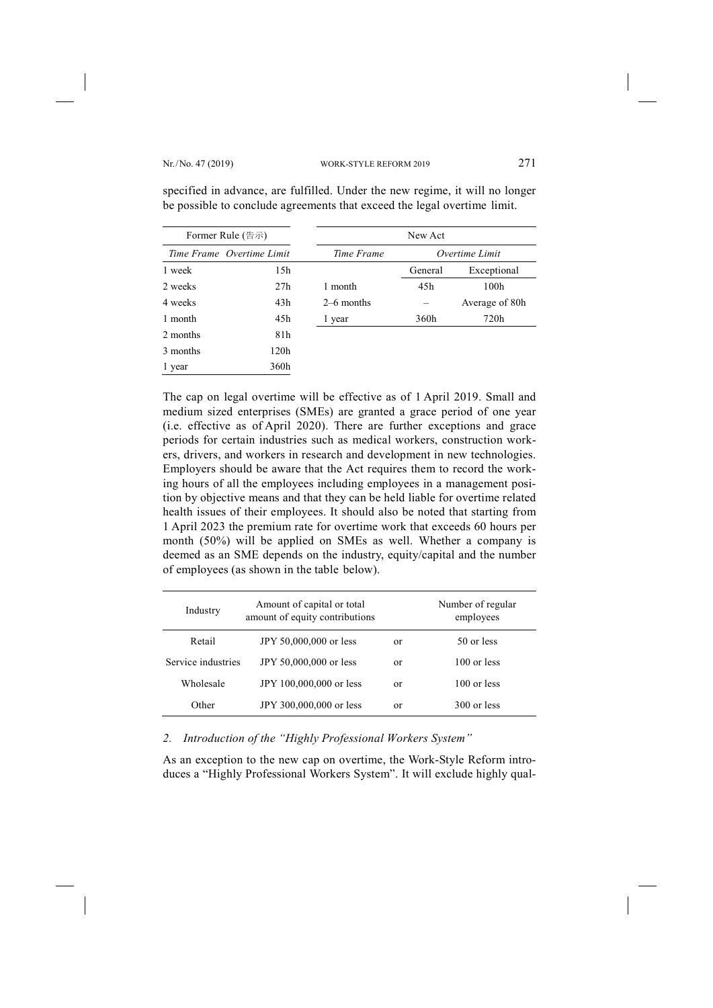| Former Rule (告示) |                           | New Act      |                |                |
|------------------|---------------------------|--------------|----------------|----------------|
|                  | Time Frame Overtime Limit | Time Frame   | Overtime Limit |                |
| 1 week           | 15h                       |              | General        | Exceptional    |
| 2 weeks          | 27h                       | 1 month      | 45h            | 100h           |
| 4 weeks          | 43h                       | $2-6$ months |                | Average of 80h |
| 1 month          | 45h                       | 1 year       | 360h           | 720h           |
| 2 months         | 81h                       |              |                |                |
| 3 months         | 120h                      |              |                |                |
| 1 year           | 360h                      |              |                |                |

specified in advance, are fulfilled. Under the new regime, it will no longer be possible to conclude agreements that exceed the legal overtime limit.

The cap on legal overtime will be effective as of 1 April 2019. Small and medium sized enterprises (SMEs) are granted a grace period of one year (i.e. effective as of April 2020). There are further exceptions and grace periods for certain industries such as medical workers, construction workers, drivers, and workers in research and development in new technologies. Employers should be aware that the Act requires them to record the working hours of all the employees including employees in a management position by objective means and that they can be held liable for overtime related health issues of their employees. It should also be noted that starting from 1 April 2023 the premium rate for overtime work that exceeds 60 hours per month (50%) will be applied on SMEs as well. Whether a company is deemed as an SME depends on the industry, equity/capital and the number of employees (as shown in the table below).

| Industry           | Amount of capital or total<br>amount of equity contributions |    | Number of regular<br>employees |
|--------------------|--------------------------------------------------------------|----|--------------------------------|
| Retail             | JPY 50,000,000 or less                                       | or | 50 or less                     |
| Service industries | JPY 50,000,000 or less                                       | or | $100$ or less                  |
| Wholesale          | JPY 100,000,000 or less                                      | or | $100$ or less                  |
| Other              | JPY 300,000,000 or less                                      | or | $300$ or less                  |

## *2. Introduction of the "Highly Professional Workers System"*

As an exception to the new cap on overtime, the Work-Style Reform introduces a "Highly Professional Workers System". It will exclude highly qual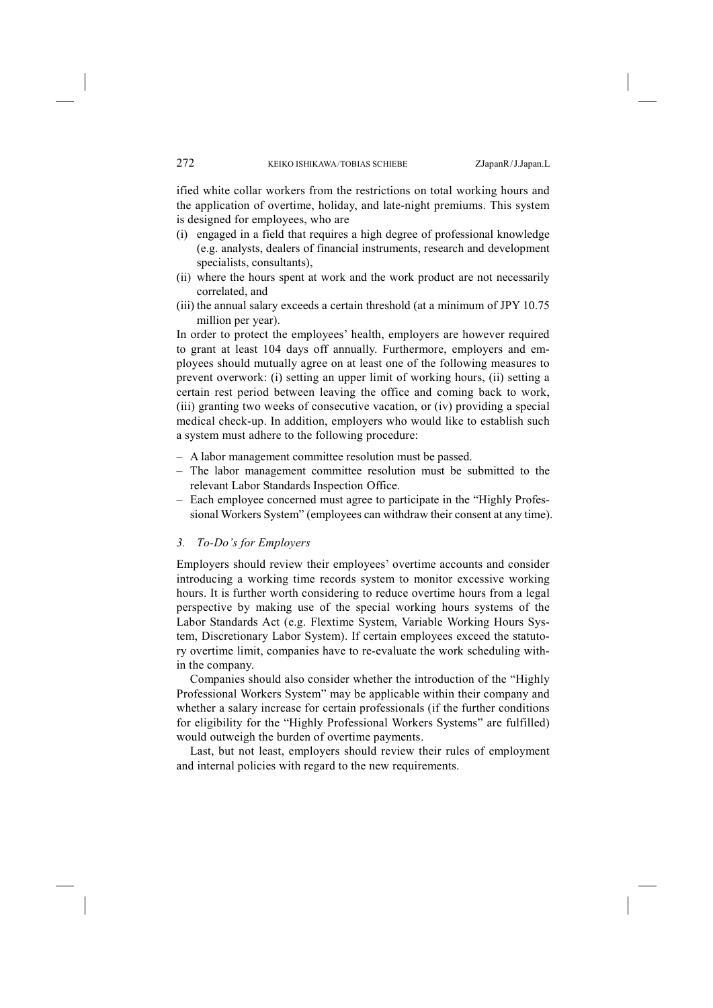ified white collar workers from the restrictions on total working hours and the application of overtime, holiday, and late-night premiums. This system is designed for employees, who are

- (i) engaged in a field that requires a high degree of professional knowledge (e.g. analysts, dealers of financial instruments, research and development specialists, consultants),
- (ii) where the hours spent at work and the work product are not necessarily correlated, and
- (iii) the annual salary exceeds a certain threshold (at a minimum of JPY 10.75 million per year).

In order to protect the employees' health, employers are however required to grant at least 104 days off annually. Furthermore, employers and employees should mutually agree on at least one of the following measures to prevent overwork: (i) setting an upper limit of working hours, (ii) setting a certain rest period between leaving the office and coming back to work, (iii) granting two weeks of consecutive vacation, or (iv) providing a special medical check-up. In addition, employers who would like to establish such a system must adhere to the following procedure:

- A labor management committee resolution must be passed.
- The labor management committee resolution must be submitted to the relevant Labor Standards Inspection Office.
- Each employee concerned must agree to participate in the "Highly Professional Workers System" (employees can withdraw their consent at any time).

## *3. To-Do's for Employers*

Employers should review their employees' overtime accounts and consider introducing a working time records system to monitor excessive working hours. It is further worth considering to reduce overtime hours from a legal perspective by making use of the special working hours systems of the Labor Standards Act (e.g. Flextime System, Variable Working Hours System, Discretionary Labor System). If certain employees exceed the statutory overtime limit, companies have to re-evaluate the work scheduling within the company.

Companies should also consider whether the introduction of the "Highly Professional Workers System" may be applicable within their company and whether a salary increase for certain professionals (if the further conditions for eligibility for the "Highly Professional Workers Systems" are fulfilled) would outweigh the burden of overtime payments.

Last, but not least, employers should review their rules of employment and internal policies with regard to the new requirements.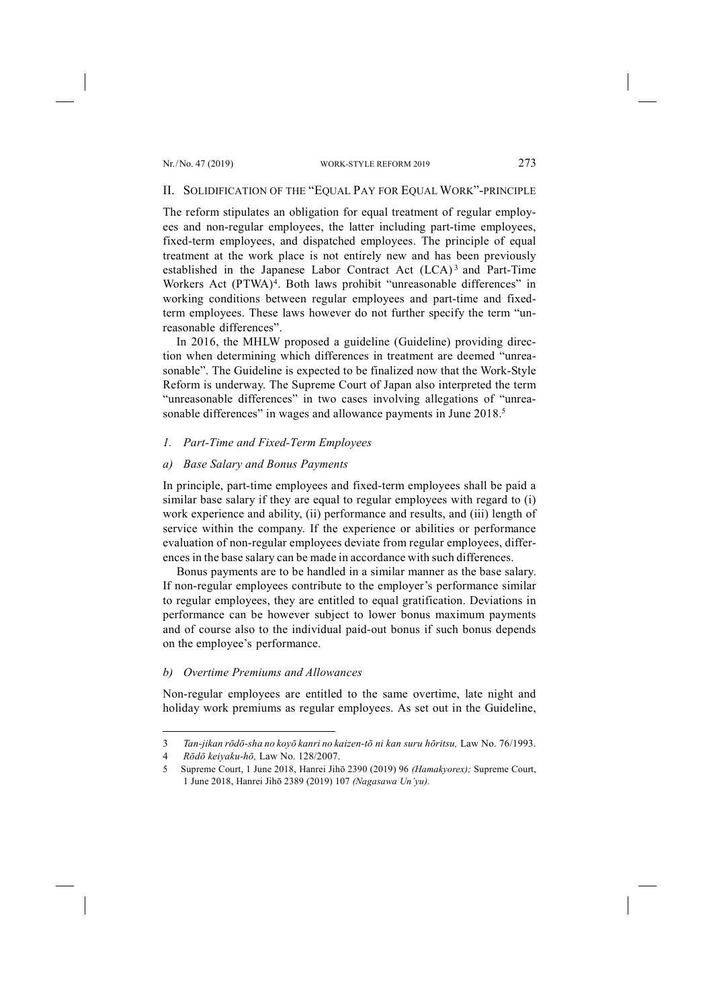#### II. SOLIDIFICATION OF THE "EQUAL PAY FOR EQUAL WORK"-PRINCIPLE

The reform stipulates an obligation for equal treatment of regular employees and non-regular employees, the latter including part-time employees, fixed-term employees, and dispatched employees. The principle of equal treatment at the work place is not entirely new and has been previously established in the Japanese Labor Contract Act (LCA)<sup>3</sup> and Part-Time Workers Act (PTWA)<sup>4</sup>. Both laws prohibit "unreasonable differences" in working conditions between regular employees and part-time and fixedterm employees. These laws however do not further specify the term "unreasonable differences".

In 2016, the MHLW proposed a guideline (Guideline) providing direction when determining which differences in treatment are deemed "unreasonable". The Guideline is expected to be finalized now that the Work-Style Reform is underway. The Supreme Court of Japan also interpreted the term "unreasonable differences" in two cases involving allegations of "unreasonable differences" in wages and allowance payments in June 2018.<sup>5</sup>

## *1. Part-Time and Fixed-Term Employees*

# *a) Base Salary and Bonus Payments*

In principle, part-time employees and fixed-term employees shall be paid a similar base salary if they are equal to regular employees with regard to (i) work experience and ability, (ii) performance and results, and (iii) length of service within the company. If the experience or abilities or performance evaluation of non-regular employees deviate from regular employees, differences in the base salary can be made in accordance with such differences.

Bonus payments are to be handled in a similar manner as the base salary. If non-regular employees contribute to the employer's performance similar to regular employees, they are entitled to equal gratification. Deviations in performance can be however subject to lower bonus maximum payments and of course also to the individual paid-out bonus if such bonus depends on the employee's performance.

## *b) Overtime Premiums and Allowances*

Non-regular employees are entitled to the same overtime, late night and holiday work premiums as regular employees. As set out in the Guideline,

-

<sup>3</sup> *Tan-jikan rōdō-sha no koyō kanri no kaizen-tō ni kan suru hōritsu,* Law No. 76/1993.

<sup>4</sup> *Rōdō keiyaku-hō,* Law No. 128/2007.

<sup>5</sup> Supreme Court, 1 June 2018, Hanrei Jihō 2390 (2019) 96 *(Hamakyorex);* Supreme Court, 1 June 2018, Hanrei Jihō 2389 (2019) 107 *(Nagasawa Un'yu).*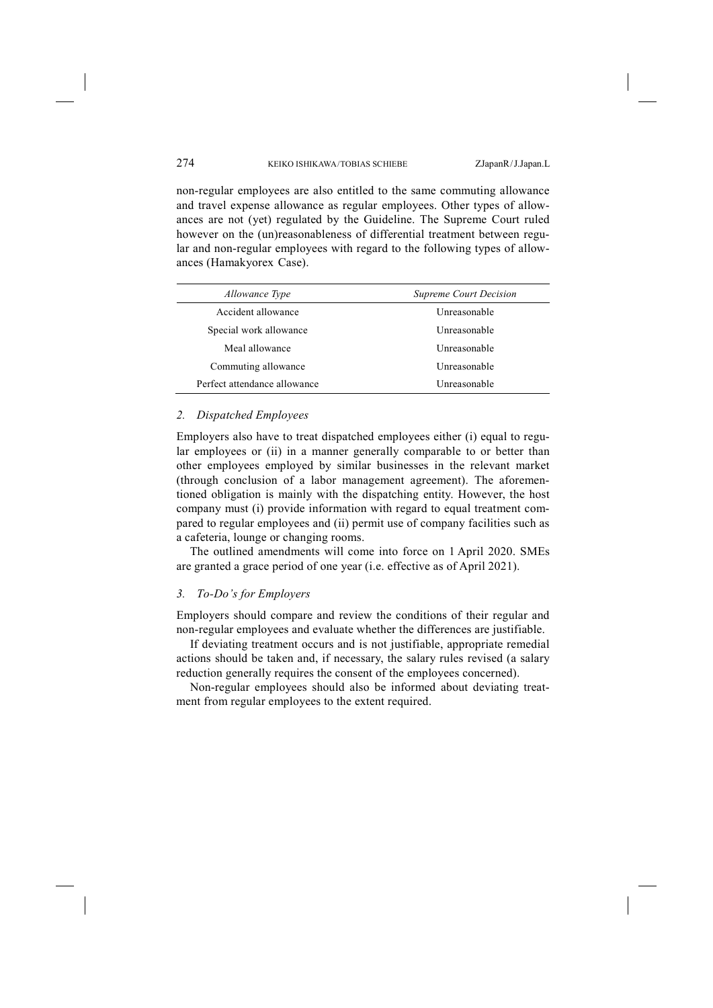non-regular employees are also entitled to the same commuting allowance and travel expense allowance as regular employees. Other types of allowances are not (yet) regulated by the Guideline. The Supreme Court ruled however on the (un)reasonableness of differential treatment between regular and non-regular employees with regard to the following types of allowances (Hamakyorex Case).

| <i>Allowance Type</i>        | <b>Supreme Court Decision</b> |  |
|------------------------------|-------------------------------|--|
| Accident allowance           | Unreasonable                  |  |
| Special work allowance       | Unreasonable                  |  |
| Meal allowance               | Unreasonable                  |  |
| Commuting allowance          | Unreasonable                  |  |
| Perfect attendance allowance | Unreasonable                  |  |

#### *2. Dispatched Employees*

Employers also have to treat dispatched employees either (i) equal to regular employees or (ii) in a manner generally comparable to or better than other employees employed by similar businesses in the relevant market (through conclusion of a labor management agreement). The aforementioned obligation is mainly with the dispatching entity. However, the host company must (i) provide information with regard to equal treatment compared to regular employees and (ii) permit use of company facilities such as a cafeteria, lounge or changing rooms.

The outlined amendments will come into force on 1 April 2020. SMEs are granted a grace period of one year (i.e. effective as of April 2021).

#### *3. To-Do's for Employers*

Employers should compare and review the conditions of their regular and non-regular employees and evaluate whether the differences are justifiable.

If deviating treatment occurs and is not justifiable, appropriate remedial actions should be taken and, if necessary, the salary rules revised (a salary reduction generally requires the consent of the employees concerned).

Non-regular employees should also be informed about deviating treatment from regular employees to the extent required.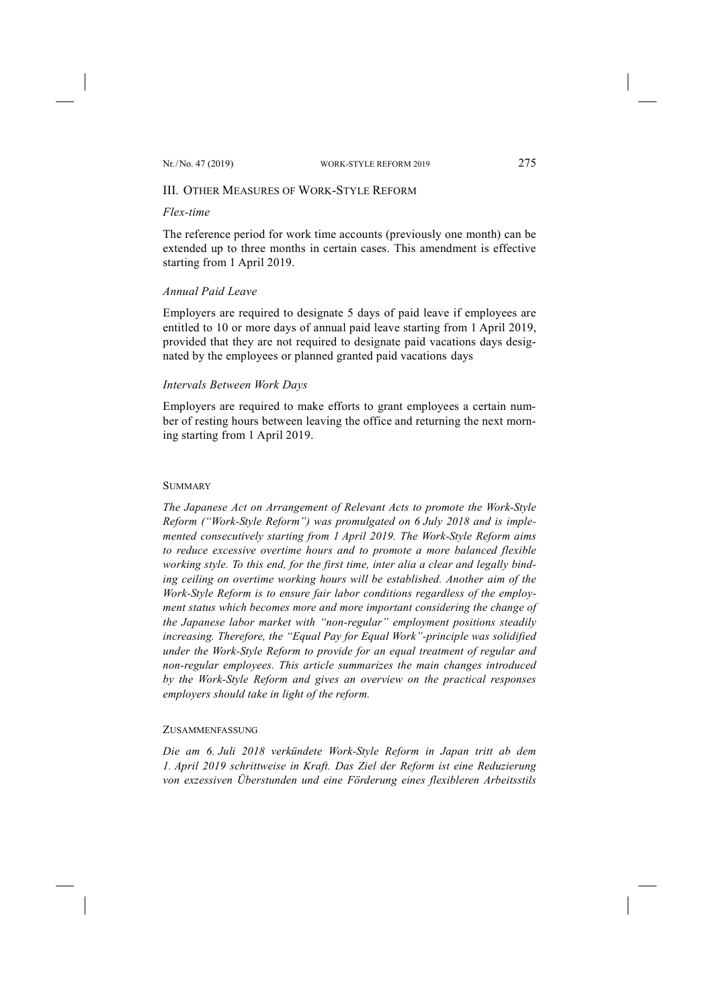# III. OTHER MEASURES OF WORK-STYLE REFORM

# *Flex-time*

The reference period for work time accounts (previously one month) can be extended up to three months in certain cases. This amendment is effective starting from 1 April 2019.

# *Annual Paid Leave*

Employers are required to designate 5 days of paid leave if employees are entitled to 10 or more days of annual paid leave starting from 1 April 2019, provided that they are not required to designate paid vacations days designated by the employees or planned granted paid vacations days

# *Intervals Between Work Days*

Employers are required to make efforts to grant employees a certain number of resting hours between leaving the office and returning the next morning starting from 1 April 2019.

## **SUMMARY**

*The Japanese Act on Arrangement of Relevant Acts to promote the Work-Style Reform ("Work-Style Reform") was promulgated on 6 July 2018 and is implemented consecutively starting from 1 April 2019. The Work-Style Reform aims to reduce excessive overtime hours and to promote a more balanced flexible working style. To this end, for the first time, inter alia a clear and legally binding ceiling on overtime working hours will be established. Another aim of the Work-Style Reform is to ensure fair labor conditions regardless of the employment status which becomes more and more important considering the change of the Japanese labor market with "non-regular" employment positions steadily increasing. Therefore, the "Equal Pay for Equal Work"-principle was solidified under the Work-Style Reform to provide for an equal treatment of regular and non-regular employees. This article summarizes the main changes introduced by the Work-Style Reform and gives an overview on the practical responses employers should take in light of the reform.* 

## ZUSAMMENFASSUNG

*Die am 6. Juli 2018 verkündete Work-Style Reform in Japan tritt ab dem 1. April 2019 schrittweise in Kraft. Das Ziel der Reform ist eine Reduzierung von exzessiven Überstunden und eine Förderung eines flexibleren Arbeitsstils*